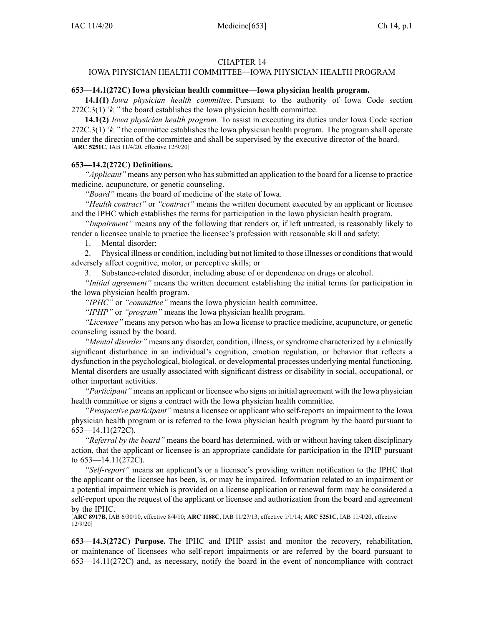## CHAPTER 14

# IOWA PHYSICIAN HEALTH COMMITTEE—IOWA PHYSICIAN HEALTH PROGRAM

### **653—14.1(272C) Iowa physician health committee—Iowa physician health program.**

**14.1(1)** *Iowa physician health committee.* Pursuant to the authority of Iowa Code section [272C.3\(1\)](https://www.legis.iowa.gov/docs/ico/section/272C.3.pdf)*"k,"* the board establishes the Iowa physician health committee.

**14.1(2)** *Iowa physician health program.* To assist in executing its duties under Iowa Code section [272C.3\(1\)](https://www.legis.iowa.gov/docs/ico/section/272C.3.pdf)*"k,"* the committee establishes the Iowa physician health program. The program shall operate under the direction of the committee and shall be supervised by the executive director of the board. [**ARC [5251C](https://www.legis.iowa.gov/docs/aco/arc/5251C.pdf)**, IAB 11/4/20, effective 12/9/20]

### **653—14.2(272C) Definitions.**

*"Applicant"* means any person who hassubmitted an application to the board for <sup>a</sup> license to practice medicine, acupuncture, or genetic counseling.

*"Board"* means the board of medicine of the state of Iowa.

*"Health contract"* or *"contract"* means the written document executed by an applicant or licensee and the IPHC which establishes the terms for participation in the Iowa physician health program.

*"Impairment"* means any of the following that renders or, if left untreated, is reasonably likely to render <sup>a</sup> licensee unable to practice the licensee's profession with reasonable skill and safety:

1. Mental disorder;

2. Physical illness or condition, including but not limited to those illnesses or conditionsthat would adversely affect cognitive, motor, or perceptive skills; or

3. Substance-related disorder, including abuse of or dependence on drugs or alcohol.

*"Initial agreement"* means the written document establishing the initial terms for participation in the Iowa physician health program.

*"IPHC"* or *"committee"* means the Iowa physician health committee.

*"IPHP"* or *"program"* means the Iowa physician health program.

*"Licensee"* means any person who has an Iowa license to practice medicine, acupuncture, or genetic counseling issued by the board.

*"Mental disorder"* means any disorder, condition, illness, or syndrome characterized by <sup>a</sup> clinically significant disturbance in an individual's cognition, emotion regulation, or behavior that reflects <sup>a</sup> dysfunction in the psychological, biological, or developmental processes underlying mental functioning. Mental disorders are usually associated with significant distress or disability in social, occupational, or other important activities.

*"Participant"* means an applicant or licensee who signs an initial agreemen<sup>t</sup> with the Iowa physician health committee or signs <sup>a</sup> contract with the Iowa physician health committee.

*"Prospective participant"* means <sup>a</sup> licensee or applicant who self-reports an impairment to the Iowa physician health program or is referred to the Iowa physician health program by the board pursuan<sup>t</sup> to 653—14.11(272C).

*"Referral by the board"* means the board has determined, with or without having taken disciplinary action, that the applicant or licensee is an appropriate candidate for participation in the IPHP pursuan<sup>t</sup> to [653—14.11\(272C\)](https://www.legis.iowa.gov/docs/iac/rule/653.14.11.pdf).

*"Self-report"* means an applicant's or <sup>a</sup> licensee's providing written notification to the IPHC that the applicant or the licensee has been, is, or may be impaired. Information related to an impairment or <sup>a</sup> potential impairment which is provided on <sup>a</sup> license application or renewal form may be considered <sup>a</sup> self-report upon the reques<sup>t</sup> of the applicant or licensee and authorization from the board and agreemen<sup>t</sup> by the IPHC.

[**ARC [8917B](https://www.legis.iowa.gov/docs/aco/arc/8917B.pdf)**, IAB 6/30/10, effective 8/4/10; **ARC [1188C](https://www.legis.iowa.gov/docs/aco/arc/1188C.pdf)**, IAB 11/27/13, effective 1/1/14; **ARC [5251C](https://www.legis.iowa.gov/docs/aco/arc/5251C.pdf)**, IAB 11/4/20, effective 12/9/20]

**653—14.3(272C) Purpose.** The IPHC and IPHP assist and monitor the recovery, rehabilitation, or maintenance of licensees who self-report impairments or are referred by the board pursuan<sup>t</sup> to [653—14.11\(272C\)](https://www.legis.iowa.gov/docs/iac/rule/653.14.11.pdf) and, as necessary, notify the board in the event of noncompliance with contract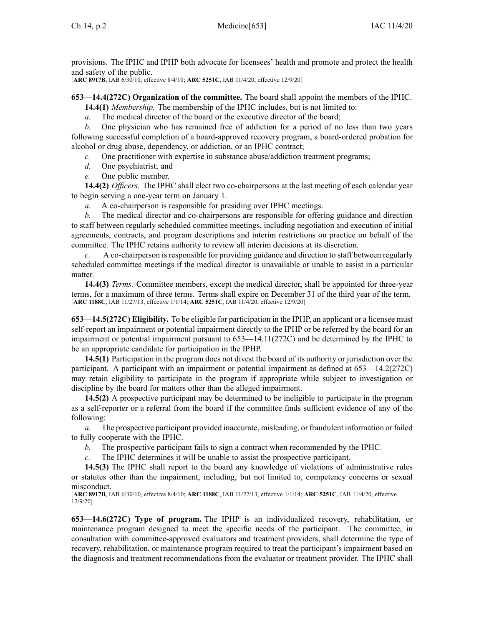provisions. The IPHC and IPHP both advocate for licensees' health and promote and protect the health and safety of the public.

[**ARC [8917B](https://www.legis.iowa.gov/docs/aco/arc/8917B.pdf)**, IAB 6/30/10, effective 8/4/10; **ARC [5251C](https://www.legis.iowa.gov/docs/aco/arc/5251C.pdf)**, IAB 11/4/20, effective 12/9/20]

**653—14.4(272C) Organization of the committee.** The board shall appoint the members of the IPHC.

**14.4(1)** *Membership.* The membership of the IPHC includes, but is not limited to:

*a.* The medical director of the board or the executive director of the board;

*b.* One physician who has remained free of addiction for <sup>a</sup> period of no less than two years following successful completion of <sup>a</sup> board-approved recovery program, <sup>a</sup> board-ordered probation for alcohol or drug abuse, dependency, or addiction, or an IPHC contract;

- *c.* One practitioner with expertise in substance abuse/addiction treatment programs;
- *d.* One psychiatrist; and
- *e.* One public member.

**14.4(2)** *Officers.* The IPHC shall elect two co-chairpersons at the last meeting of each calendar year to begin serving <sup>a</sup> one-year term on January 1.

*a.* A co-chairperson is responsible for presiding over IPHC meetings.

*b.* The medical director and co-chairpersons are responsible for offering guidance and direction to staff between regularly scheduled committee meetings, including negotiation and execution of initial agreements, contracts, and program descriptions and interim restrictions on practice on behalf of the committee. The IPHC retains authority to review all interim decisions at its discretion.

*c.* A co-chairperson is responsible for providing guidance and direction to staff between regularly scheduled committee meetings if the medical director is unavailable or unable to assist in <sup>a</sup> particular matter.

**14.4(3)** *Terms.* Committee members, excep<sup>t</sup> the medical director, shall be appointed for three-year terms, for <sup>a</sup> maximum of three terms. Terms shall expire on December 31 of the third year of the term. [**ARC [1188C](https://www.legis.iowa.gov/docs/aco/arc/1188C.pdf)**, IAB 11/27/13, effective 1/1/14; **ARC [5251C](https://www.legis.iowa.gov/docs/aco/arc/5251C.pdf)**, IAB 11/4/20, effective 12/9/20]

**653—14.5(272C) Eligibility.** To be eligible for participation in the IPHP, an applicant or <sup>a</sup> licensee must self-report an impairment or potential impairment directly to the IPHP or be referred by the board for an impairment or potential impairment pursuan<sup>t</sup> to [653—14.11\(272C\)](https://www.legis.iowa.gov/docs/iac/rule/653.14.11.pdf) and be determined by the IPHC to be an appropriate candidate for participation in the IPHP.

**14.5(1)** Participation in the program does not divest the board of its authority or jurisdiction over the participant. A participant with an impairment or potential impairment as defined at [653—14.2](https://www.legis.iowa.gov/docs/iac/rule/653.14.2.pdf)(272C) may retain eligibility to participate in the program if appropriate while subject to investigation or discipline by the board for matters other than the alleged impairment.

**14.5(2)** A prospective participant may be determined to be ineligible to participate in the program as <sup>a</sup> self-reporter or <sup>a</sup> referral from the board if the committee finds sufficient evidence of any of the following:

*a.* The prospective participant provided inaccurate, misleading, or fraudulent information or failed to fully cooperate with the IPHC.

*b.* The prospective participant fails to sign <sup>a</sup> contract when recommended by the IPHC.

*c.* The IPHC determines it will be unable to assist the prospective participant.

**14.5(3)** The IPHC shall repor<sup>t</sup> to the board any knowledge of violations of administrative rules or statutes other than the impairment, including, but not limited to, competency concerns or sexual misconduct.

[**ARC [8917B](https://www.legis.iowa.gov/docs/aco/arc/8917B.pdf)**, IAB 6/30/10, effective 8/4/10; **ARC [1188C](https://www.legis.iowa.gov/docs/aco/arc/1188C.pdf)**, IAB 11/27/13, effective 1/1/14; **ARC [5251C](https://www.legis.iowa.gov/docs/aco/arc/5251C.pdf)**, IAB 11/4/20, effective 12/9/20]

**653—14.6(272C) Type of program.** The IPHP is an individualized recovery, rehabilitation, or maintenance program designed to meet the specific needs of the participant. The committee, in consultation with committee-approved evaluators and treatment providers, shall determine the type of recovery, rehabilitation, or maintenance program required to treat the participant's impairment based on the diagnosis and treatment recommendations from the evaluator or treatment provider. The IPHC shall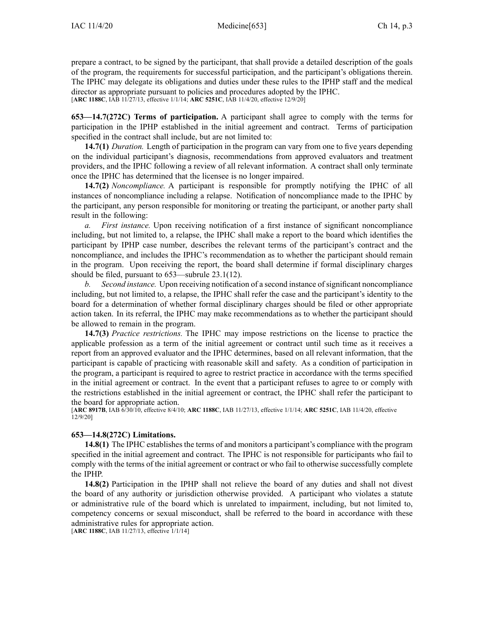prepare <sup>a</sup> contract, to be signed by the participant, that shall provide <sup>a</sup> detailed description of the goals of the program, the requirements for successful participation, and the participant's obligations therein. The IPHC may delegate its obligations and duties under these rules to the IPHP staff and the medical director as appropriate pursuan<sup>t</sup> to policies and procedures adopted by the IPHC. [**ARC [1188C](https://www.legis.iowa.gov/docs/aco/arc/1188C.pdf)**, IAB 11/27/13, effective 1/1/14; **ARC [5251C](https://www.legis.iowa.gov/docs/aco/arc/5251C.pdf)**, IAB 11/4/20, effective 12/9/20]

**653—14.7(272C) Terms of participation.** A participant shall agree to comply with the terms for participation in the IPHP established in the initial agreemen<sup>t</sup> and contract. Terms of participation specified in the contract shall include, but are not limited to:

**14.7(1)** *Duration.* Length of participation in the program can vary from one to five years depending on the individual participant's diagnosis, recommendations from approved evaluators and treatment providers, and the IPHC following <sup>a</sup> review of all relevant information. A contract shall only terminate once the IPHC has determined that the licensee is no longer impaired.

**14.7(2)** *Noncompliance.* A participant is responsible for promptly notifying the IPHC of all instances of noncompliance including <sup>a</sup> relapse. Notification of noncompliance made to the IPHC by the participant, any person responsible for monitoring or treating the participant, or another party shall result in the following:

*a. First instance.* Upon receiving notification of <sup>a</sup> first instance of significant noncompliance including, but not limited to, <sup>a</sup> relapse, the IPHC shall make <sup>a</sup> repor<sup>t</sup> to the board which identifies the participant by IPHP case number, describes the relevant terms of the participant's contract and the noncompliance, and includes the IPHC's recommendation as to whether the participant should remain in the program. Upon receiving the report, the board shall determine if formal disciplinary charges should be filed, pursuan<sup>t</sup> to [653—subrule](https://www.legis.iowa.gov/docs/iac/rule/653.23.1.pdf) 23.1(12).

*b. Second instance.* Upon receiving notification of a second instance of significant noncompliance including, but not limited to, <sup>a</sup> relapse, the IPHC shall refer the case and the participant's identity to the board for <sup>a</sup> determination of whether formal disciplinary charges should be filed or other appropriate action taken. In its referral, the IPHC may make recommendations as to whether the participant should be allowed to remain in the program.

**14.7(3)** *Practice restrictions.* The IPHC may impose restrictions on the license to practice the applicable profession as <sup>a</sup> term of the initial agreemen<sup>t</sup> or contract until such time as it receives <sup>a</sup> repor<sup>t</sup> from an approved evaluator and the IPHC determines, based on all relevant information, that the participant is capable of practicing with reasonable skill and safety. As <sup>a</sup> condition of participation in the program, <sup>a</sup> participant is required to agree to restrict practice in accordance with the terms specified in the initial agreemen<sup>t</sup> or contract. In the event that <sup>a</sup> participant refuses to agree to or comply with the restrictions established in the initial agreemen<sup>t</sup> or contract, the IPHC shall refer the participant to the board for appropriate action.

[**ARC [8917B](https://www.legis.iowa.gov/docs/aco/arc/8917B.pdf)**, IAB 6/30/10, effective 8/4/10; **ARC [1188C](https://www.legis.iowa.gov/docs/aco/arc/1188C.pdf)**, IAB 11/27/13, effective 1/1/14; **ARC [5251C](https://www.legis.iowa.gov/docs/aco/arc/5251C.pdf)**, IAB 11/4/20, effective 12/9/20]

### **653—14.8(272C) Limitations.**

**14.8(1)** The IPHC establishes the terms of and monitors <sup>a</sup> participant's compliance with the program specified in the initial agreemen<sup>t</sup> and contract. The IPHC is not responsible for participants who fail to comply with the terms of the initial agreemen<sup>t</sup> or contract or who fail to otherwise successfully complete the IPHP.

**14.8(2)** Participation in the IPHP shall not relieve the board of any duties and shall not divest the board of any authority or jurisdiction otherwise provided. A participant who violates <sup>a</sup> statute or administrative rule of the board which is unrelated to impairment, including, but not limited to, competency concerns or sexual misconduct, shall be referred to the board in accordance with these administrative rules for appropriate action.

[**ARC [1188C](https://www.legis.iowa.gov/docs/aco/arc/1188C.pdf)**, IAB 11/27/13, effective 1/1/14]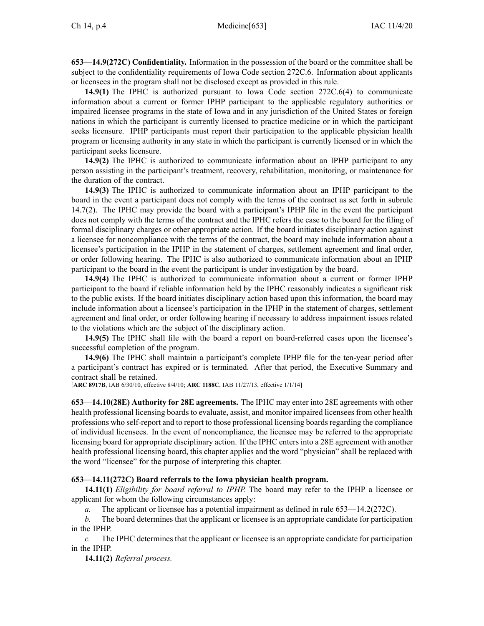**653—14.9(272C) Confidentiality.** Information in the possession of the board or the committee shall be subject to the confidentiality requirements of Iowa Code section [272C.6](https://www.legis.iowa.gov/docs/ico/section/272C.6.pdf). Information about applicants or licensees in the program shall not be disclosed excep<sup>t</sup> as provided in this rule.

**14.9(1)** The IPHC is authorized pursuan<sup>t</sup> to Iowa Code section [272C.6\(4\)](https://www.legis.iowa.gov/docs/ico/section/272C.6.pdf) to communicate information about <sup>a</sup> current or former IPHP participant to the applicable regulatory authorities or impaired licensee programs in the state of Iowa and in any jurisdiction of the United States or foreign nations in which the participant is currently licensed to practice medicine or in which the participant seeks licensure. IPHP participants must repor<sup>t</sup> their participation to the applicable physician health program or licensing authority in any state in which the participant is currently licensed or in which the participant seeks licensure.

**14.9(2)** The IPHC is authorized to communicate information about an IPHP participant to any person assisting in the participant's treatment, recovery, rehabilitation, monitoring, or maintenance for the duration of the contract.

**14.9(3)** The IPHC is authorized to communicate information about an IPHP participant to the board in the event <sup>a</sup> participant does not comply with the terms of the contract as set forth in subrule 14.7(2). The IPHC may provide the board with <sup>a</sup> participant's IPHP file in the event the participant does not comply with the terms of the contract and the IPHC refers the case to the board for the filing of formal disciplinary charges or other appropriate action. If the board initiates disciplinary action against <sup>a</sup> licensee for noncompliance with the terms of the contract, the board may include information about <sup>a</sup> licensee's participation in the IPHP in the statement of charges, settlement agreemen<sup>t</sup> and final order, or order following hearing. The IPHC is also authorized to communicate information about an IPHP participant to the board in the event the participant is under investigation by the board.

**14.9(4)** The IPHC is authorized to communicate information about <sup>a</sup> current or former IPHP participant to the board if reliable information held by the IPHC reasonably indicates <sup>a</sup> significant risk to the public exists. If the board initiates disciplinary action based upon this information, the board may include information about <sup>a</sup> licensee's participation in the IPHP in the statement of charges, settlement agreemen<sup>t</sup> and final order, or order following hearing if necessary to address impairment issues related to the violations which are the subject of the disciplinary action.

**14.9(5)** The IPHC shall file with the board <sup>a</sup> repor<sup>t</sup> on board-referred cases upon the licensee's successful completion of the program.

**14.9(6)** The IPHC shall maintain <sup>a</sup> participant's complete IPHP file for the ten-year period after <sup>a</sup> participant's contract has expired or is terminated. After that period, the Executive Summary and contract shall be retained.

[**ARC [8917B](https://www.legis.iowa.gov/docs/aco/arc/8917B.pdf)**, IAB 6/30/10, effective 8/4/10; **ARC [1188C](https://www.legis.iowa.gov/docs/aco/arc/1188C.pdf)**, IAB 11/27/13, effective 1/1/14]

**653—14.10(28E) Authority for 28E agreements.** The IPHC may enter into 28E agreements with other health professional licensing boards to evaluate, assist, and monitor impaired licensees from other health professions who self-report and to repor<sup>t</sup> to those professional licensing boardsregarding the compliance of individual licensees. In the event of noncompliance, the licensee may be referred to the appropriate licensing board for appropriate disciplinary action. If the IPHC enters into <sup>a</sup> 28E agreemen<sup>t</sup> with another health professional licensing board, this chapter applies and the word "physician" shall be replaced with the word "licensee" for the purpose of interpreting this chapter.

### **653—14.11(272C) Board referrals to the Iowa physician health program.**

**14.11(1)** *Eligibility for board referral to IPHP.* The board may refer to the IPHP <sup>a</sup> licensee or applicant for whom the following circumstances apply:

*a.* The applicant or licensee has <sup>a</sup> potential impairment as defined in rule [653—14.2\(272C\)](https://www.legis.iowa.gov/docs/iac/rule/653.14.2.pdf).

*b.* The board determines that the applicant or licensee is an appropriate candidate for participation in the IPHP.

*c.* The IPHC determines that the applicant or licensee is an appropriate candidate for participation in the IPHP.

**14.11(2)** *Referral process.*